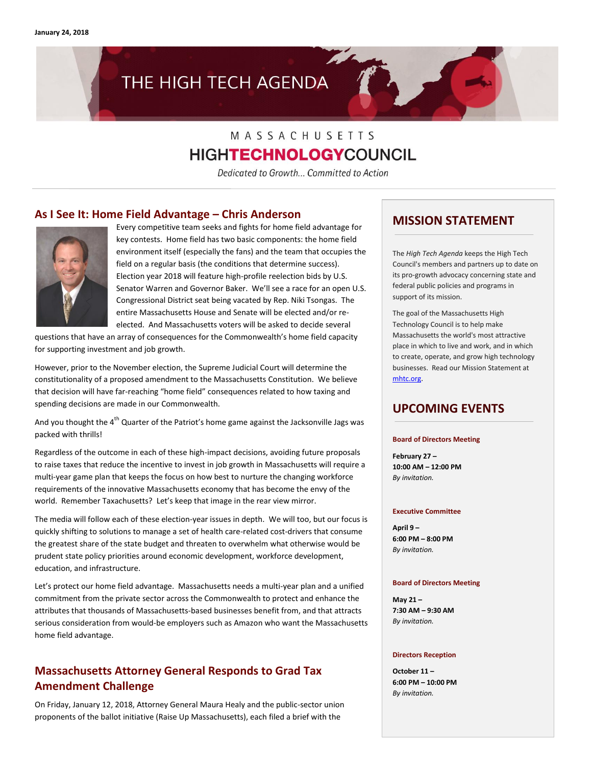# THE HIGH TECH AGENDA

## MASSACHUSETTS **HIGHTECHNOLOGY**COUNCIL

Dedicated to Growth... Committed to Action

#### **As I See It: Home Field Advantage – Chris Anderson**



Every competitive team seeks and fights for home field advantage for key contests. Home field has two basic components: the home field environment itself (especially the fans) and the team that occupies the field on a regular basis (the conditions that determine success). Election year 2018 will feature high-profile reelection bids by U.S. Senator Warren and Governor Baker. We'll see a race for an open U.S. Congressional District seat being vacated by Rep. Niki Tsongas. The entire Massachusetts House and Senate will be elected and/or reelected. And Massachusetts voters will be asked to decide several

questions that have an array of consequences for the Commonwealth's home field capacity for supporting investment and job growth.

However, prior to the November election, the Supreme Judicial Court will determine the constitutionality of a proposed amendment to the Massachusetts Constitution. We believe that decision will have far-reaching "home field" consequences related to how taxing and spending decisions are made in our Commonwealth.

And you thought the  $4<sup>th</sup>$  Quarter of the Patriot's home game against the Jacksonville Jags was packed with thrills!

Regardless of the outcome in each of these high-impact decisions, avoiding future proposals to raise taxes that reduce the incentive to invest in job growth in Massachusetts will require a multi-year game plan that keeps the focus on how best to nurture the changing workforce requirements of the innovative Massachusetts economy that has become the envy of the world. Remember Taxachusetts? Let's keep that image in the rear view mirror.

The media will follow each of these election-year issues in depth. We will too, but our focus is quickly shifting to solutions to manage a set of health care-related cost-drivers that consume the greatest share of the state budget and threaten to overwhelm what otherwise would be prudent state policy priorities around economic development, workforce development, education, and infrastructure.

Let's protect our home field advantage. Massachusetts needs a multi-year plan and a unified commitment from the private sector across the Commonwealth to protect and enhance the attributes that thousands of Massachusetts-based businesses benefit from, and that attracts serious consideration from would-be employers such as Amazon who want the Massachusetts home field advantage.

### **Massachusetts Attorney General Responds to Grad Tax Amendment Challenge**

On Friday, January 12, 2018, Attorney General Maura Healy and the public-sector union proponents of the ballot initiative (Raise Up Massachusetts), each filed a brief with the

#### **MISSION STATEMENT**

The *High Tech Agenda* keeps the High Tech Council's members and partners up to date on its pro-growth advocacy concerning state and federal public policies and programs in support of its mission.

The goal of the Massachusetts High Technology Council is to help make Massachusetts the world's most attractive place in which to live and work, and in which to create, operate, and grow high technology businesses. Read our Mission Statement at [mhtc.org.](http://www.mhtc.org/) 

#### **UPCOMING EVENTS**

#### **Board of Directors Meeting**

**February 27 – 10:00 AM – 12:00 PM** *By invitation.*

#### **Executive Committee**

**April 9 – 6:00 PM – 8:00 PM** *By invitation.*

#### **Board of Directors Meeting**

**May 21 – 7:30 AM – 9:30 AM** *By invitation.*

#### **Directors Reception**

**October 11 – 6:00 PM – 10:00 PM** *By invitation.*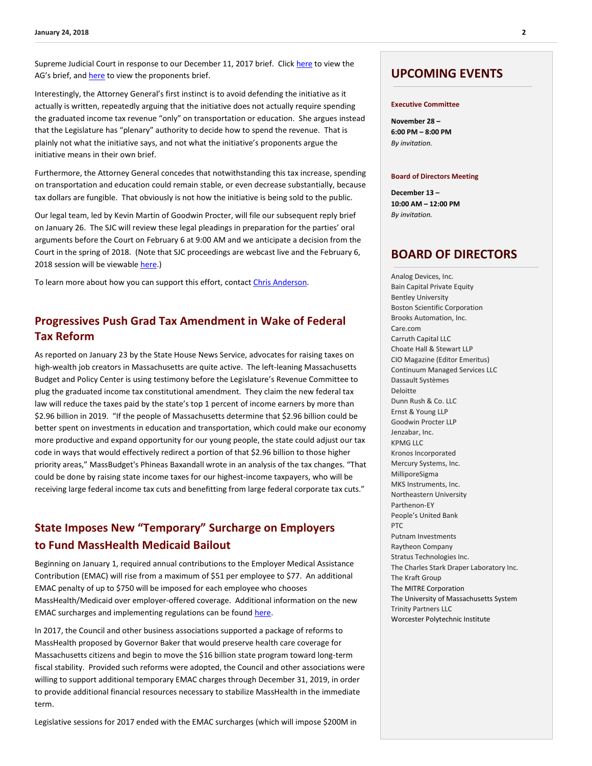Supreme Judicial Court in response to our December 11, 2017 brief. Clic[k here](http://www.mhtc.org/wp-content/uploads/2018/01/SJC-12422-Brief-of-Appellees.pdf) to view the AG's brief, and [here](http://www.mhtc.org/wp-content/uploads/2018/01/2018-01-12-Anderson-Brief-of-Intervenor-Defendants-Appellees.pdf) to view the proponents brief.

Interestingly, the Attorney General's first instinct is to avoid defending the initiative as it actually is written, repeatedly arguing that the initiative does not actually require spending the graduated income tax revenue "only" on transportation or education. She argues instead that the Legislature has "plenary" authority to decide how to spend the revenue. That is plainly not what the initiative says, and not what the initiative's proponents argue the initiative means in their own brief.

Furthermore, the Attorney General concedes that notwithstanding this tax increase, spending on transportation and education could remain stable, or even decrease substantially, because tax dollars are fungible. That obviously is not how the initiative is being sold to the public.

Our legal team, led by Kevin Martin of Goodwin Procter, will file our subsequent reply brief on January 26. The SJC will review these legal pleadings in preparation for the parties' oral arguments before the Court on February 6 at 9:00 AM and we anticipate a decision from the Court in the spring of 2018. (Note that SJC proceedings are webcast live and the February 6, 2018 session will be viewable [here.\)](http://www.suffolk.edu/sjc/)

To learn more about how you can support this effort, contac[t Chris Anderson.](mailto:chris@mhtc.org)

### **Progressives Push Grad Tax Amendment in Wake of Federal Tax Reform**

As reported on January 23 by the State House News Service, advocates for raising taxes on high-wealth job creators in Massachusetts are quite active. The left-leaning Massachusetts Budget and Policy Center is using testimony before the Legislature's Revenue Committee to plug the graduated income tax constitutional amendment. They claim the new federal tax law will reduce the taxes paid by the state's top 1 percent of income earners by more than \$2.96 billion in 2019. "If the people of Massachusetts determine that \$2.96 billion could be better spent on investments in education and transportation, which could make our economy more productive and expand opportunity for our young people, the state could adjust our tax code in ways that would effectively redirect a portion of that \$2.96 billion to those higher priority areas," MassBudget's Phineas Baxandall wrote in an analysis of the tax changes. "That could be done by raising state income taxes for our highest-income taxpayers, who will be receiving large federal income tax cuts and benefitting from large federal corporate tax cuts."

### **State Imposes New "Temporary" Surcharge on Employers to Fund MassHealth Medicaid Bailout**

Beginning on January 1, required annual contributions to the Employer Medical Assistance Contribution (EMAC) will rise from a maximum of \$51 per employee to \$77. An additional EMAC penalty of up to \$750 will be imposed for each employee who chooses MassHealth/Medicaid over employer-offered coverage. Additional information on the new EMAC surcharges and implementing regulations can be foun[d here.](https://www.mass.gov/service-details/updates-in-employer-health-care-contributions-and-experience-rate-schedule)

In 2017, the Council and other business associations supported a package of reforms to MassHealth proposed by Governor Baker that would preserve health care coverage for Massachusetts citizens and begin to move the \$16 billion state program toward long-term fiscal stability. Provided such reforms were adopted, the Council and other associations were willing to support additional temporary EMAC charges through December 31, 2019, in order to provide additional financial resources necessary to stabilize MassHealth in the immediate term.

Legislative sessions for 2017 ended with the EMAC surcharges (which will impose \$200M in

#### **UPCOMING EVENTS**

#### **Executive Committee**

**November 28 – 6:00 PM – 8:00 PM** *By invitation.*

#### **Board of Directors Meeting**

**December 13 – 10:00 AM – 12:00 PM** *By invitation.*

#### **BOARD OF DIRECTORS**

Analog Devices, Inc. Bain Capital Private Equity Bentley University Boston Scientific Corporation Brooks Automation, Inc. Care.com Carruth Capital LLC Choate Hall & Stewart LLP CIO Magazine (Editor Emeritus) Continuum Managed Services LLC Dassault Systèmes Deloitte Dunn Rush & Co. LLC Ernst & Young LLP Goodwin Procter LLP Jenzabar, Inc. KPMG LLC Kronos Incorporated Mercury Systems, Inc. MilliporeSigma MKS Instruments, Inc. Northeastern University Parthenon-EY People's United Bank PTC Putnam Investments Raytheon Company Stratus Technologies Inc. The Charles Stark Draper Laboratory Inc. The Kraft Group The MITRE Corporation The University of Massachusetts System Trinity Partners LLC Worcester Polytechnic Institute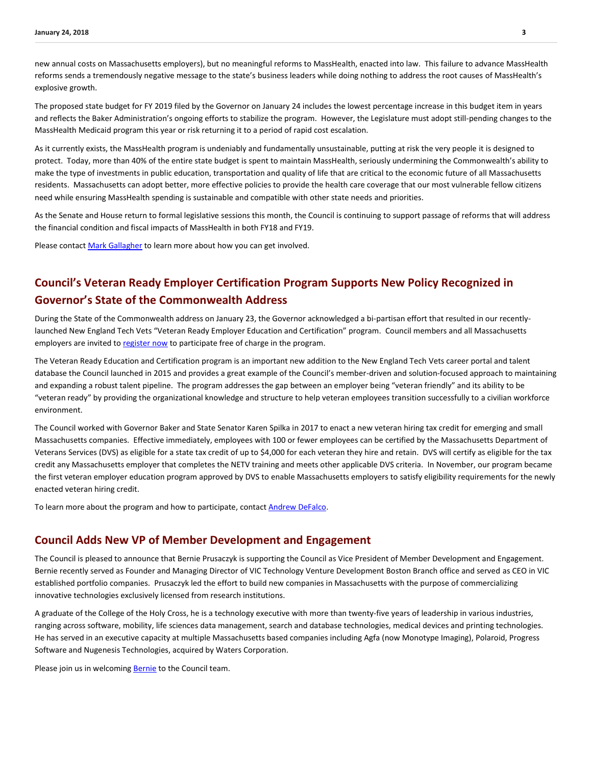new annual costs on Massachusetts employers), but no meaningful reforms to MassHealth, enacted into law. This failure to advance MassHealth reforms sends a tremendously negative message to the state's business leaders while doing nothing to address the root causes of MassHealth's explosive growth.

The proposed state budget for FY 2019 filed by the Governor on January 24 includes the lowest percentage increase in this budget item in years and reflects the Baker Administration's ongoing efforts to stabilize the program. However, the Legislature must adopt still-pending changes to the MassHealth Medicaid program this year or risk returning it to a period of rapid cost escalation.

As it currently exists, the MassHealth program is undeniably and fundamentally unsustainable, putting at risk the very people it is designed to protect. Today, more than 40% of the entire state budget is spent to maintain MassHealth, seriously undermining the Commonwealth's ability to make the type of investments in public education, transportation and quality of life that are critical to the economic future of all Massachusetts residents. Massachusetts can adopt better, more effective policies to provide the health care coverage that our most vulnerable fellow citizens need while ensuring MassHealth spending is sustainable and compatible with other state needs and priorities.

As the Senate and House return to formal legislative sessions this month, the Council is continuing to support passage of reforms that will address the financial condition and fiscal impacts of MassHealth in both FY18 and FY19.

Please contact [Mark Gallagher](mailto:mark@mhtc.org) to learn more about how you can get involved.

### **Council's Veteran Ready Employer Certification Program Supports New Policy Recognized in Governor's State of the Commonwealth Address**

During the State of the Commonwealth address on January 23, the Governor acknowledged a bi-partisan effort that resulted in our recentlylaunched New England Tech Vets "Veteran Ready Employer Education and Certification" program. Council members and all Massachusetts employers are invited t[o register now](http://www.mhtc.org/programs/new-england-tech-vets/) to participate free of charge in the program.

The Veteran Ready Education and Certification program is an important new addition to the New England Tech Vets career portal and talent database the Council launched in 2015 and provides a great example of the Council's member-driven and solution-focused approach to maintaining and expanding a robust talent pipeline. The program addresses the gap between an employer being "veteran friendly" and its ability to be "veteran ready" by providing the organizational knowledge and structure to help veteran employees transition successfully to a civilian workforce environment.

The Council worked with Governor Baker and State Senator Karen Spilka in 2017 to enact a new veteran hiring tax credit for emerging and small Massachusetts companies. Effective immediately, employees with 100 or fewer employees can be certified by the Massachusetts Department of Veterans Services (DVS) as eligible for a state tax credit of up to \$4,000 for each veteran they hire and retain. DVS will certify as eligible for the tax credit any Massachusetts employer that completes the NETV training and meets other applicable DVS criteria.In November, our program became the first veteran employer education program approved by DVS to enable Massachusetts employers to satisfy eligibility requirements for the newly enacted veteran hiring credit.

To learn more about the program and how to participate, contact [Andrew DeFalco.](mailto:andrew@mhtc.org?subject=MHTC%20Veteran%20Ready%20Employer%20Certification%20Program%20Inquiry)

#### **Council Adds New VP of Member Development and Engagement**

The Council is pleased to announce that Bernie Prusaczyk is supporting the Council as Vice President of Member Development and Engagement. Bernie recently served as Founder and Managing Director of VIC Technology Venture Development Boston Branch office and served as CEO in VIC established portfolio companies. Prusaczyk led the effort to build new companies in Massachusetts with the purpose of commercializing innovative technologies exclusively licensed from research institutions.

A graduate of the College of the Holy Cross, he is a technology executive with more than twenty-five years of leadership in various industries, ranging across software, mobility, life sciences data management, search and database technologies, medical devices and printing technologies. He has served in an executive capacity at multiple Massachusetts based companies including Agfa (now Monotype Imaging), Polaroid, Progress Software and Nugenesis Technologies, acquired by Waters Corporation.

Please join us in welcoming [Bernie](mailto:bernie@mhtc.org?subject=Welcome%20to%20the%20Council) to the Council team.